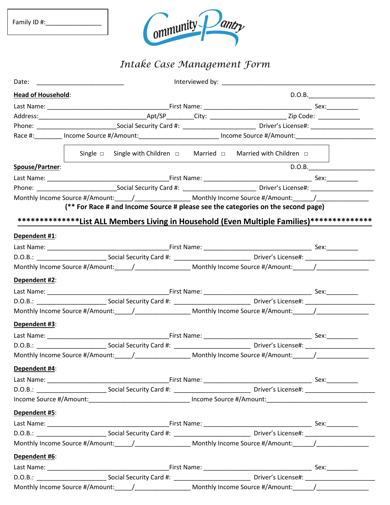| Family ID #: |  |
|--------------|--|
|--------------|--|



## *Intake Case Management Form*

|                           |                                                                                                                      | Interviewed by: New York State State State State State State State State State State State State State State State State State State State State State State State State State State State State State State State State State |        |
|---------------------------|----------------------------------------------------------------------------------------------------------------------|--------------------------------------------------------------------------------------------------------------------------------------------------------------------------------------------------------------------------------|--------|
| <b>Head of Household:</b> |                                                                                                                      |                                                                                                                                                                                                                                | D.O.B. |
|                           |                                                                                                                      |                                                                                                                                                                                                                                |        |
|                           |                                                                                                                      |                                                                                                                                                                                                                                |        |
|                           |                                                                                                                      |                                                                                                                                                                                                                                |        |
|                           | Race #: ________ Income Source #/Amount: __________________________ Income Source #/Amount: ________________________ |                                                                                                                                                                                                                                |        |
|                           | Single $\Box$ Single with Children $\Box$ Married $\Box$ Married with Children $\Box$                                |                                                                                                                                                                                                                                |        |
| Spouse/Partner:           |                                                                                                                      |                                                                                                                                                                                                                                | D.O.B. |
|                           |                                                                                                                      |                                                                                                                                                                                                                                |        |
|                           |                                                                                                                      |                                                                                                                                                                                                                                |        |
|                           | Monthly Income Source #/Amount:_____/____________________ Monthly Income Source #/Amount:______/______________       |                                                                                                                                                                                                                                |        |
|                           | (** For Race # and Income Source # please see the categories on the second page)                                     |                                                                                                                                                                                                                                |        |
|                           | ***************List ALL Members Living in Household (Even Multiple Families)***************                          |                                                                                                                                                                                                                                |        |
| Dependent #1:             |                                                                                                                      |                                                                                                                                                                                                                                |        |
|                           |                                                                                                                      |                                                                                                                                                                                                                                |        |
|                           |                                                                                                                      |                                                                                                                                                                                                                                |        |
|                           | Monthly Income Source #/Amount:______/______________________ Monthly Income Source #/Amount:_______/__________       |                                                                                                                                                                                                                                |        |
| Dependent #2:             |                                                                                                                      |                                                                                                                                                                                                                                |        |
|                           |                                                                                                                      |                                                                                                                                                                                                                                |        |
|                           |                                                                                                                      |                                                                                                                                                                                                                                |        |
|                           | Monthly Income Source #/Amount:_____/____________________ Monthly Income Source #/Amount:______/______________       |                                                                                                                                                                                                                                |        |
| Dependent #3:             |                                                                                                                      |                                                                                                                                                                                                                                |        |
|                           |                                                                                                                      |                                                                                                                                                                                                                                |        |
|                           |                                                                                                                      |                                                                                                                                                                                                                                |        |
|                           | Monthly Income Source #/Amount:_____/_____________________ Monthly Income Source #/Amount:______/_____________       |                                                                                                                                                                                                                                |        |
| Dependent #4:             |                                                                                                                      |                                                                                                                                                                                                                                |        |
|                           |                                                                                                                      |                                                                                                                                                                                                                                |        |
|                           |                                                                                                                      |                                                                                                                                                                                                                                |        |
|                           | Income Source #/Amount:__________________________________ Income Source #/Amount:_____________________________       |                                                                                                                                                                                                                                |        |
| Dependent #5:             |                                                                                                                      |                                                                                                                                                                                                                                |        |
|                           |                                                                                                                      |                                                                                                                                                                                                                                |        |
|                           |                                                                                                                      |                                                                                                                                                                                                                                |        |
|                           | Monthly Income Source #/Amount:_____/___________________ Monthly Income Source #/Amount:______/______________        |                                                                                                                                                                                                                                |        |
| Dependent #6:             |                                                                                                                      |                                                                                                                                                                                                                                |        |
|                           |                                                                                                                      |                                                                                                                                                                                                                                |        |
|                           |                                                                                                                      |                                                                                                                                                                                                                                |        |
|                           | Monthly Income Source #/Amount:_____/____________________ Monthly Income Source #/Amount:______/______________       |                                                                                                                                                                                                                                |        |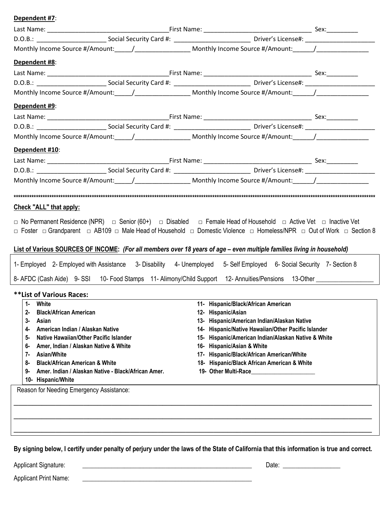## **Dependent #7**:

| Monthly Income Source #/Amount:_____/____________________ Monthly Income Source #/Amount:______/______________                                                                                                                                                                                                                                                                                                           |                                                                                                                                                                                                                                                                                                                                                                                                       |  |
|--------------------------------------------------------------------------------------------------------------------------------------------------------------------------------------------------------------------------------------------------------------------------------------------------------------------------------------------------------------------------------------------------------------------------|-------------------------------------------------------------------------------------------------------------------------------------------------------------------------------------------------------------------------------------------------------------------------------------------------------------------------------------------------------------------------------------------------------|--|
| Dependent #8:                                                                                                                                                                                                                                                                                                                                                                                                            |                                                                                                                                                                                                                                                                                                                                                                                                       |  |
|                                                                                                                                                                                                                                                                                                                                                                                                                          |                                                                                                                                                                                                                                                                                                                                                                                                       |  |
|                                                                                                                                                                                                                                                                                                                                                                                                                          |                                                                                                                                                                                                                                                                                                                                                                                                       |  |
| Monthly Income Source #/Amount:_____/___________________ Monthly Income Source #/Amount:______/______________                                                                                                                                                                                                                                                                                                            |                                                                                                                                                                                                                                                                                                                                                                                                       |  |
| Dependent #9:                                                                                                                                                                                                                                                                                                                                                                                                            |                                                                                                                                                                                                                                                                                                                                                                                                       |  |
|                                                                                                                                                                                                                                                                                                                                                                                                                          |                                                                                                                                                                                                                                                                                                                                                                                                       |  |
|                                                                                                                                                                                                                                                                                                                                                                                                                          |                                                                                                                                                                                                                                                                                                                                                                                                       |  |
| Monthly Income Source #/Amount:_____/____________________ Monthly Income Source #/Amount:______/______________                                                                                                                                                                                                                                                                                                           |                                                                                                                                                                                                                                                                                                                                                                                                       |  |
| Dependent #10:                                                                                                                                                                                                                                                                                                                                                                                                           |                                                                                                                                                                                                                                                                                                                                                                                                       |  |
|                                                                                                                                                                                                                                                                                                                                                                                                                          |                                                                                                                                                                                                                                                                                                                                                                                                       |  |
|                                                                                                                                                                                                                                                                                                                                                                                                                          |                                                                                                                                                                                                                                                                                                                                                                                                       |  |
| Monthly Income Source #/Amount:______/______________________Monthly Income Source #/Amount:______/____________                                                                                                                                                                                                                                                                                                           |                                                                                                                                                                                                                                                                                                                                                                                                       |  |
|                                                                                                                                                                                                                                                                                                                                                                                                                          |                                                                                                                                                                                                                                                                                                                                                                                                       |  |
| Check "ALL" that apply:                                                                                                                                                                                                                                                                                                                                                                                                  |                                                                                                                                                                                                                                                                                                                                                                                                       |  |
| List of Various SOURCES OF INCOME: (For all members over 18 years of age - even multiple families living in household)<br>1- Employed 2- Employed with Assistance 3- Disability 4- Unemployed 5- Self Employed 6- Social Security 7- Section 8<br>8- AFDC (Cash Aide) 9-SSI 10- Food Stamps 11- Alimony/Child Support 12- Annuities/Pensions 13-Other ________________                                                   |                                                                                                                                                                                                                                                                                                                                                                                                       |  |
| **List of Various Races:                                                                                                                                                                                                                                                                                                                                                                                                 |                                                                                                                                                                                                                                                                                                                                                                                                       |  |
| 1- White<br><b>Black/African American</b><br>$2 -$<br>3-<br>Asian<br>American Indian / Alaskan Native<br>4-<br>Native Hawaiian/Other Pacific Islander<br>5-<br>Amer, Indian / Alaskan Native & White<br>6-<br><b>Asian/White</b><br>7-<br><b>Black/African American &amp; White</b><br>8-<br>Amer. Indian / Alaskan Native - Black/African Amer.<br>9-<br>10- Hispanic/White<br>Reason for Needing Emergency Assistance: | 11- Hispanic/Black/African American<br>12- Hispanic/Asian<br>Hispanic/American Indian/Alaskan Native<br>13-<br>Hispanic/Native Hawaiian/Other Pacific Islander<br>14-<br>Hispanic/American Indian/Alaskan Native & White<br>15-<br><b>Hispanic/Asian &amp; White</b><br>16-<br>Hispanic/Black/African American/White<br>17-<br>Hispanic/Black African American & White<br>18-<br>19- Other Multi-Race |  |
|                                                                                                                                                                                                                                                                                                                                                                                                                          |                                                                                                                                                                                                                                                                                                                                                                                                       |  |

**By signing below, I certify under penalty of perjury under the laws of the State of California that this information is true and correct.**

Applicant Signature: \_\_\_\_\_\_\_\_\_\_\_\_\_\_\_\_\_\_\_\_\_\_\_\_\_\_\_\_\_\_\_\_\_\_\_\_\_\_\_\_\_\_\_\_\_\_\_\_\_\_\_\_\_ Date: \_\_\_\_\_\_\_\_\_\_\_\_\_\_\_\_\_\_

Applicant Print Name: